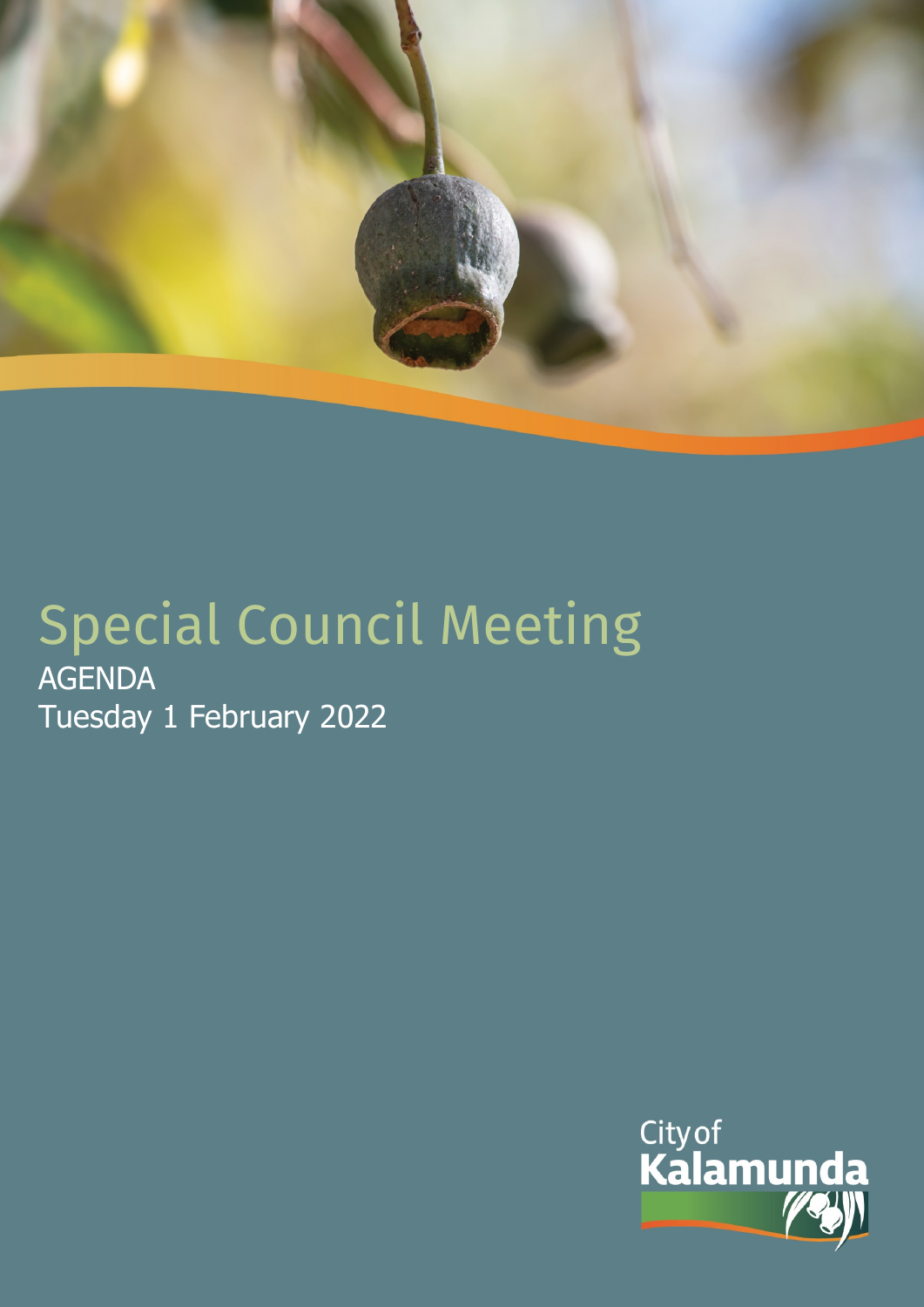

# Special Council Meeting AGENDA Tuesday 1 February 2022

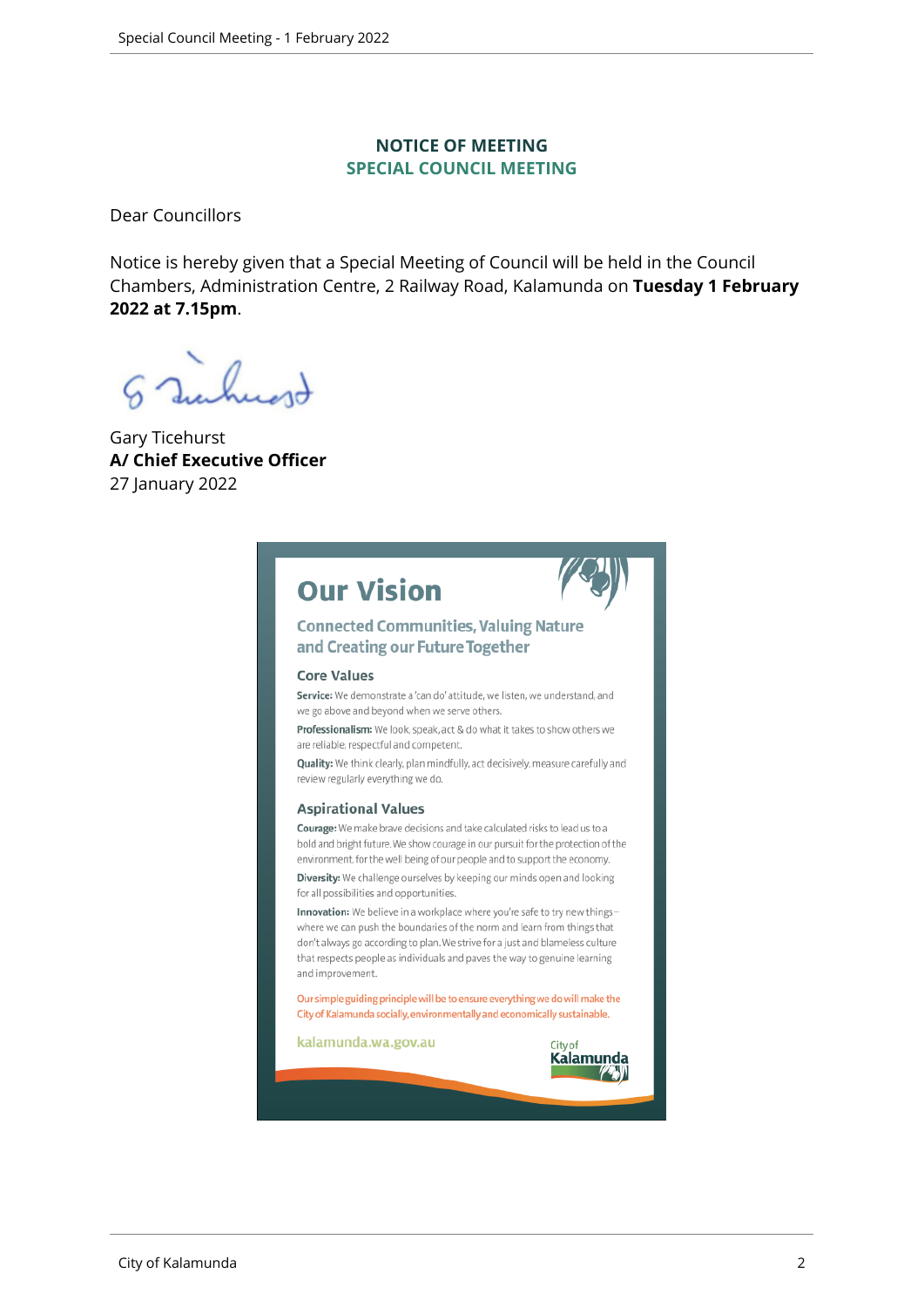#### **NOTICE OF MEETING SPECIAL COUNCIL MEETING**

Dear Councillors

Notice is hereby given that a Special Meeting of Council will be held in the Council Chambers, Administration Centre, 2 Railway Road, Kalamunda on **Tuesday 1 February 2022 at 7.15pm**.

 $\sqrt{2}$ 

Gary Ticehurst **A/ Chief Executive Officer** 27 January 2022

# **Our Vision**



#### **Connected Communities, Valuing Nature** and Creating our Future Together

#### **Core Values**

Service: We demonstrate a 'can do' attitude, we listen, we understand, and we go above and beyond when we serve others.

Professionalism: We look, speak, act & do what it takes to show others we are reliable, respectful and competent.

Quality: We think clearly, plan mindfully, act decisively, measure carefully and review regularly everything we do.

#### **Aspirational Values**

Courage: We make brave decisions and take calculated risks to lead us to a bold and bright future. We show courage in our pursuit for the protection of the environment, for the well being of our people and to support the economy.

Diversity: We challenge ourselves by keeping our minds open and looking for all possibilities and opportunities.

Innovation: We believe in a workplace where you're safe to try new thingswhere we can push the boundaries of the norm and learn from things that don't always go according to plan. We strive for a just and blameless culture that respects people as individuals and paves the way to genuine learning and improvement.

Our simple guiding principle will be to ensure everything we do will make the City of Kalamunda socially, environmentally and economically sustainable.

kalamunda.wa.gov.au

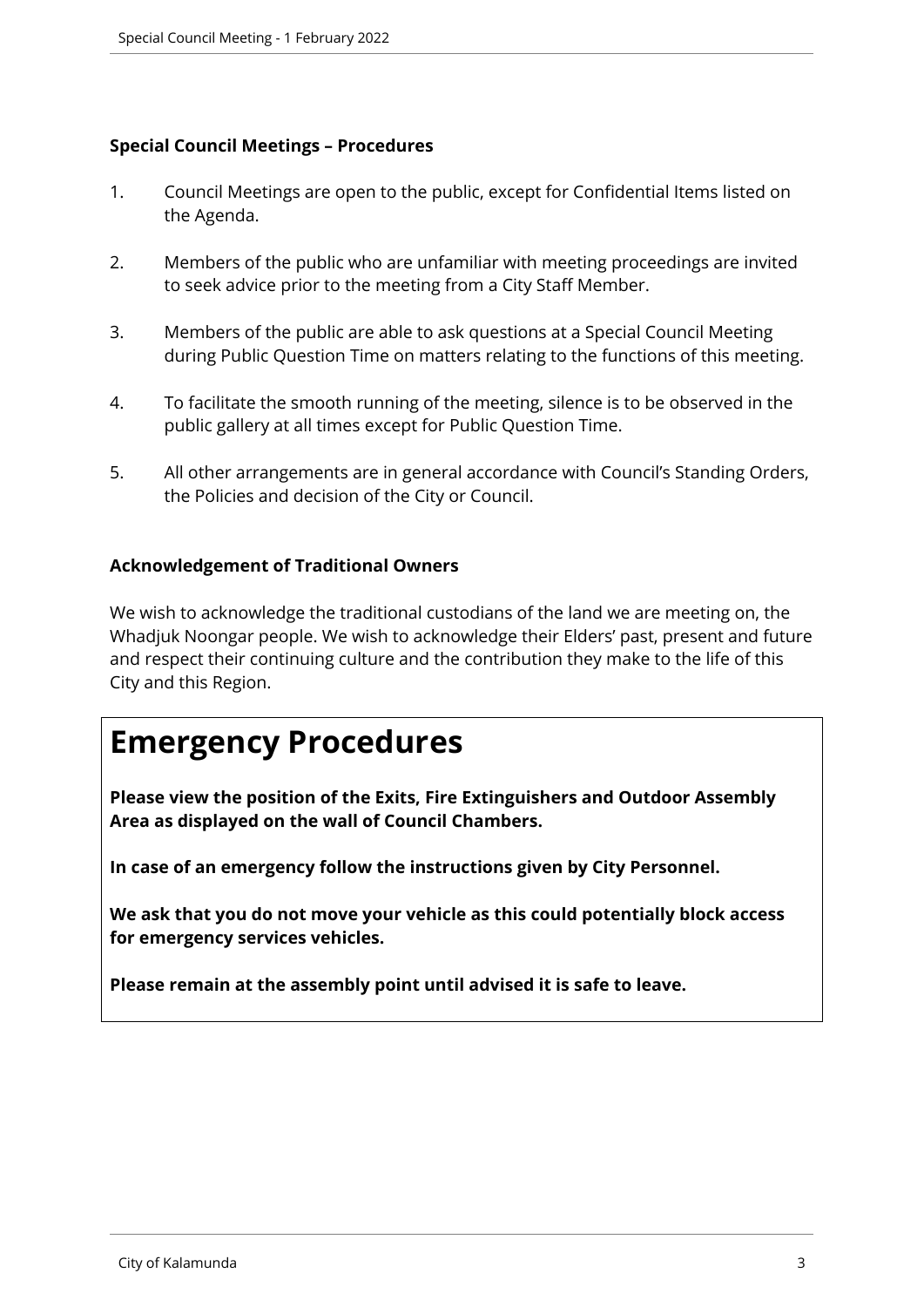#### **Special Council Meetings – Procedures**

- 1. Council Meetings are open to the public, except for Confidential Items listed on the Agenda.
- 2. Members of the public who are unfamiliar with meeting proceedings are invited to seek advice prior to the meeting from a City Staff Member.
- 3. Members of the public are able to ask questions at a Special Council Meeting during Public Question Time on matters relating to the functions of this meeting.
- 4. To facilitate the smooth running of the meeting, silence is to be observed in the public gallery at all times except for Public Question Time.
- 5. All other arrangements are in general accordance with Council's Standing Orders, the Policies and decision of the City or Council.

#### **Acknowledgement of Traditional Owners**

We wish to acknowledge the traditional custodians of the land we are meeting on, the Whadjuk Noongar people. We wish to acknowledge their Elders' past, present and future and respect their continuing culture and the contribution they make to the life of this City and this Region.

# **Emergency Procedures**

**Please view the position of the Exits, Fire Extinguishers and Outdoor Assembly Area as displayed on the wall of Council Chambers.**

**In case of an emergency follow the instructions given by City Personnel.** 

**We ask that you do not move your vehicle as this could potentially block access for emergency services vehicles.** 

**Please remain at the assembly point until advised it is safe to leave.**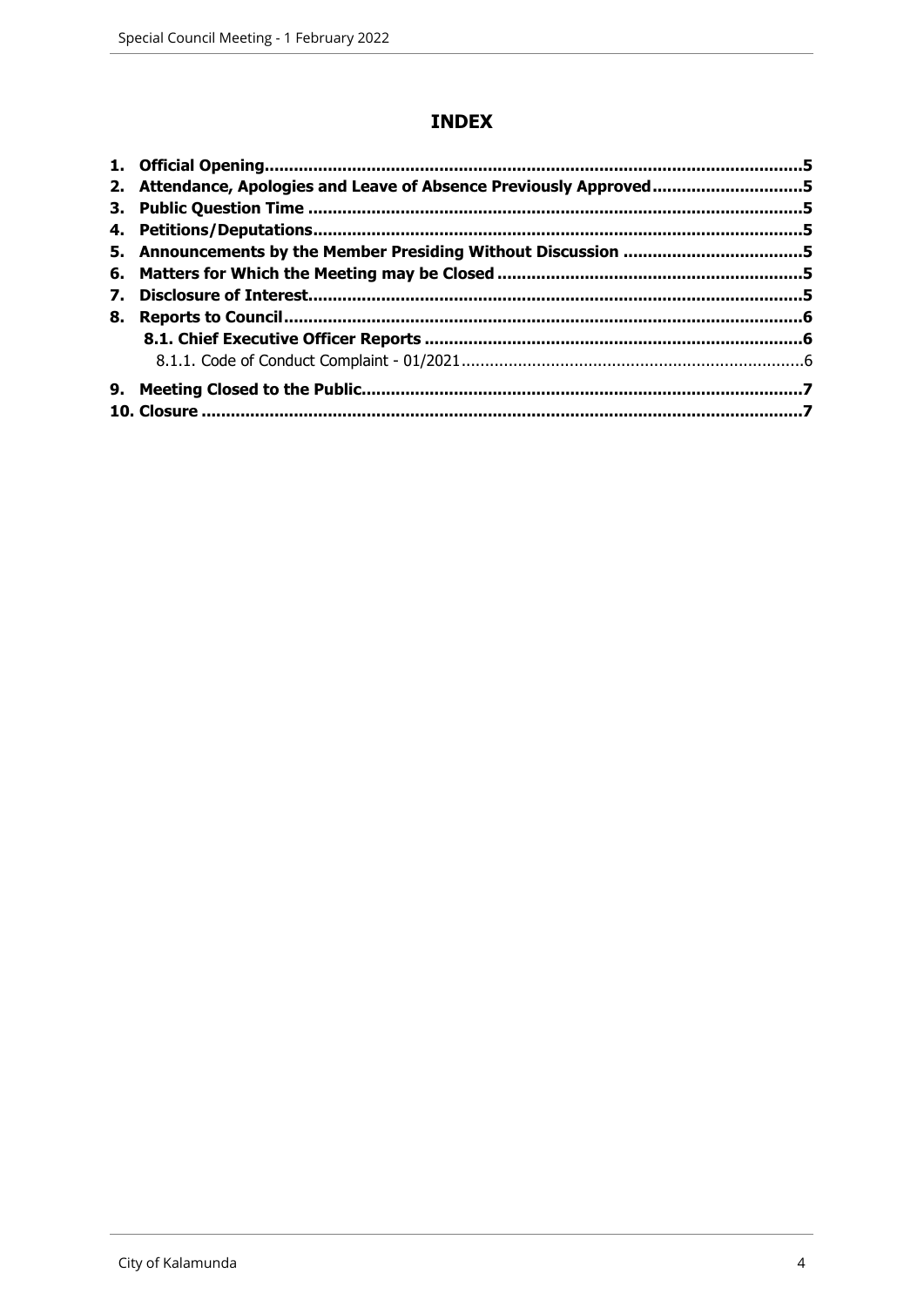### **INDEX**

|    | 2. Attendance, Apologies and Leave of Absence Previously Approved5 |  |
|----|--------------------------------------------------------------------|--|
|    |                                                                    |  |
|    |                                                                    |  |
|    |                                                                    |  |
|    |                                                                    |  |
| 7. |                                                                    |  |
| 8. |                                                                    |  |
|    |                                                                    |  |
|    |                                                                    |  |
|    |                                                                    |  |
|    |                                                                    |  |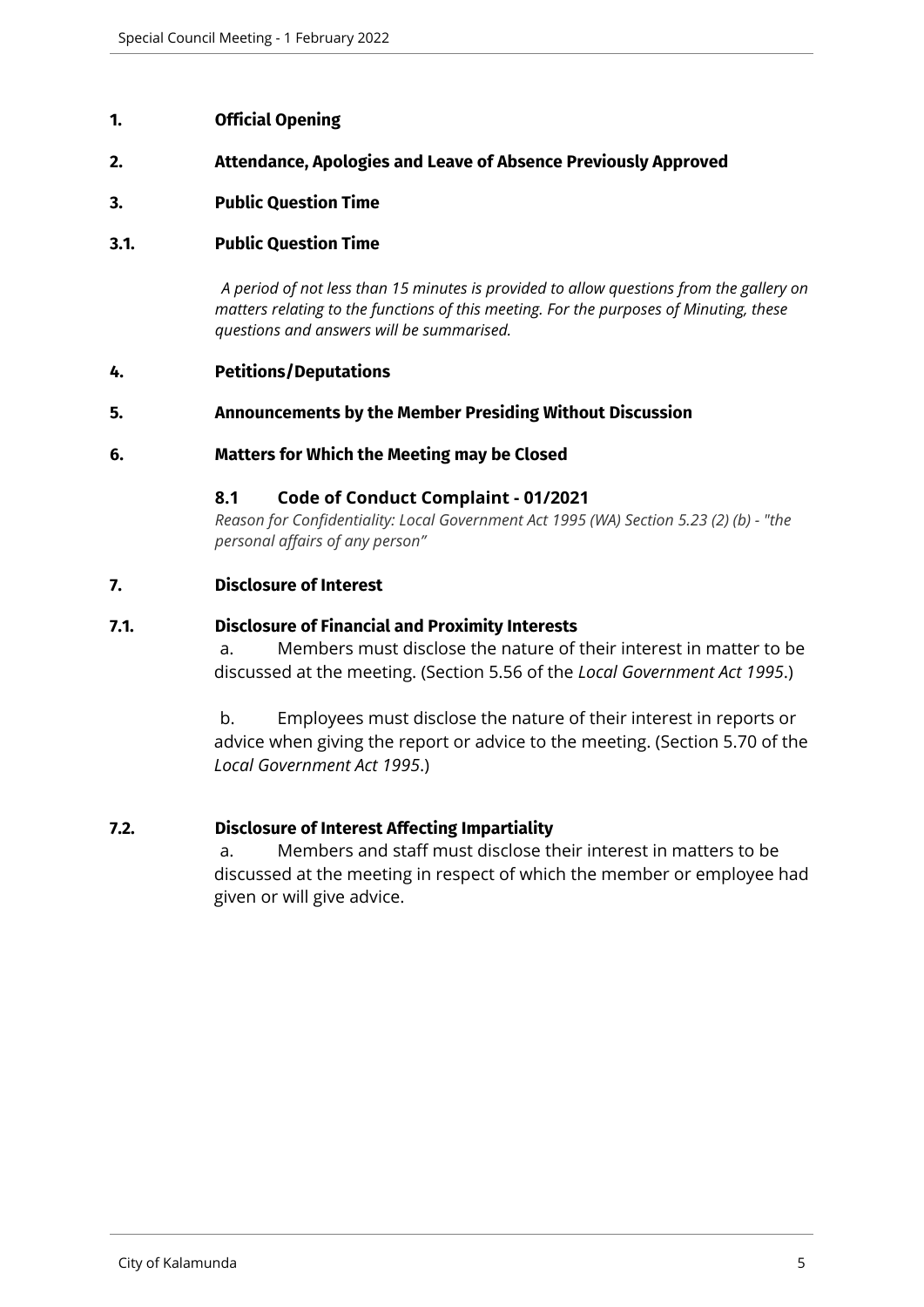#### <span id="page-4-0"></span>**1. Official Opening**

#### <span id="page-4-1"></span>**2. Attendance, Apologies and Leave of Absence Previously Approved**

#### <span id="page-4-2"></span>**3. Public Question Time**

#### **3.1. Public Question Time**

*A period of not less than 15 minutes is provided to allow questions from the gallery on matters relating to the functions of this meeting. For the purposes of Minuting, these questions and answers will be summarised.*

#### <span id="page-4-3"></span>**4. Petitions/Deputations**

#### <span id="page-4-4"></span>**5. Announcements by the Member Presiding Without Discussion**

#### <span id="page-4-5"></span>**6. Matters for Which the Meeting may be Closed**

#### **8.1 Code of Conduct Complaint - 01/2021**

*Reason for Confidentiality: Local Government Act 1995 (WA) Section 5.23 (2) (b) - "the personal affairs of any person"*

#### <span id="page-4-6"></span>**7. Disclosure of Interest**

#### **7.1. Disclosure of Financial and Proximity Interests**

a. Members must disclose the nature of their interest in matter to be discussed at the meeting. (Section 5.56 of the *Local Government Act 1995*.)

b. Employees must disclose the nature of their interest in reports or advice when giving the report or advice to the meeting. (Section 5.70 of the *Local Government Act 1995*.)

#### **7.2. Disclosure of Interest Affecting Impartiality**

a. Members and staff must disclose their interest in matters to be discussed at the meeting in respect of which the member or employee had given or will give advice.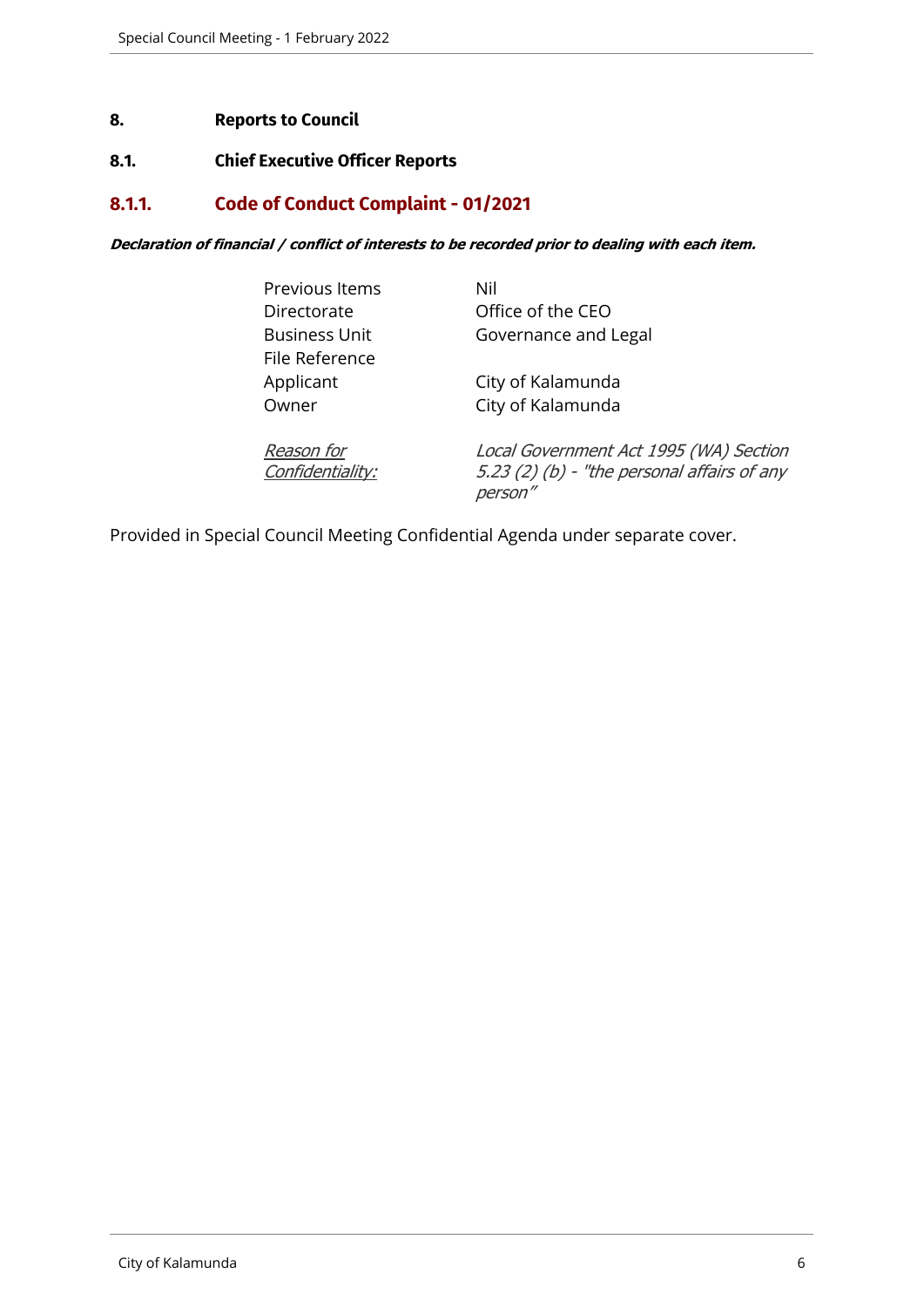#### <span id="page-5-0"></span>**8. Reports to Council**

#### <span id="page-5-1"></span>**8.1. Chief Executive Officer Reports**

### <span id="page-5-2"></span>**8.1.1. Code of Conduct Complaint - 01/2021**

*Declaration of financial / conflict of interests to be recorded prior to dealing with each item.*

| Previous Items<br>Directorate<br><b>Business Unit</b> | Nil<br>Office of the CEO<br>Governance and Legal                                                 |
|-------------------------------------------------------|--------------------------------------------------------------------------------------------------|
| File Reference<br>Applicant<br>Owner                  | City of Kalamunda<br>City of Kalamunda                                                           |
| Reason for<br>Confidentiality:                        | Local Government Act 1995 (WA) Section<br>5.23 (2) (b) - "the personal affairs of any<br>person" |

Provided in Special Council Meeting Confidential Agenda under separate cover.